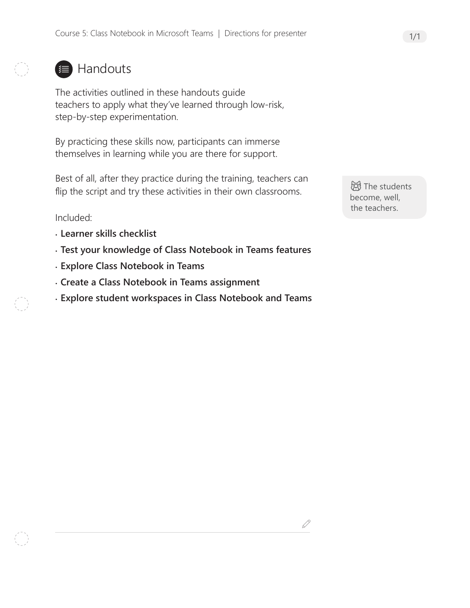### **■ Handouts**

The activities outlined in these handouts guide teachers to apply what they've learned through low-risk, step-by-step experimentation.

By practicing these skills now, participants can immerse themselves in learning while you are there for support.

Best of all, after they practice during the training, teachers can flip the script and try these activities in their own classrooms.

Included:

- **Learner skills checklist**
- **Test your knowledge of Class Notebook in Teams features**
- **Explore Class Notebook in Teams**
- **Create a Class Notebook in Teams assignment**
- **Explore student workspaces in Class Notebook and Teams**

**创**The students become, well, the teachers.

D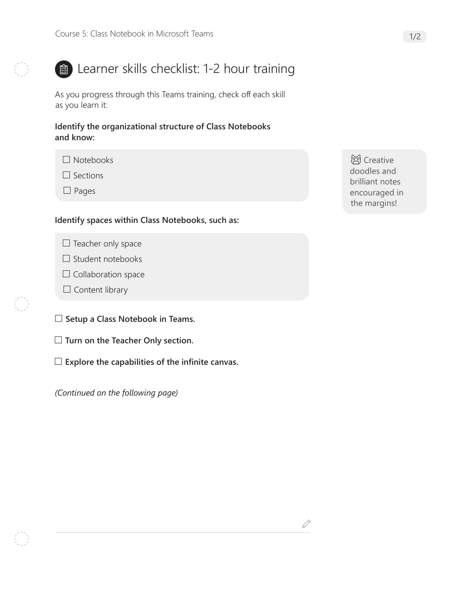

## **ED** Learner skills checklist: 1-2 hour training

As you progress through this Teams training, check off each skill as you learn it:

**Identify the organizational structure of Class Notebooks and know:**

 $\square$  Sections

 $\Box$  Pages

#### **Identify spaces within Class Notebooks, such as:**

- $\Box$  Teacher only space
- $\Box$  Student notebooks
- $\Box$  Collaboration space
- $\Box$  Content library
- **Setup a Class Notebook in Teams.**
- **Turn on the Teacher Only section.**
- **Explore the capabilities of the infinite canvas.**

*(Continued on the following page)*

**总** Creative doodles and brilliant notes encouraged in the margins!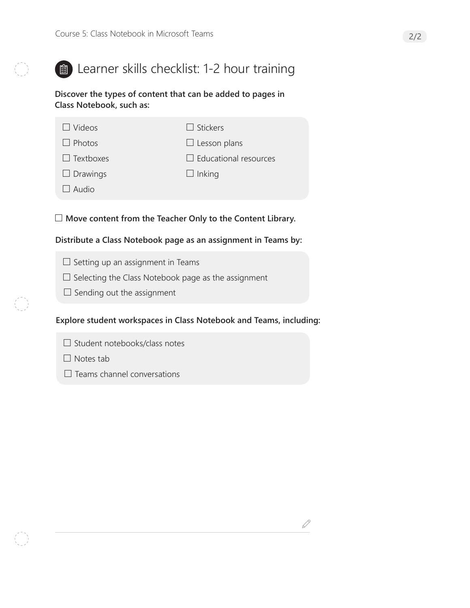

## **ED** Learner skills checklist: 1-2 hour training

**Discover the types of content that can be added to pages in Class Notebook, such as:**

| $\Box$ Videos    | $\Box$ Stickers              |
|------------------|------------------------------|
| $\Box$ Photos    | $\Box$ Lesson plans          |
| $\Box$ Textboxes | $\Box$ Educational resources |
| $\Box$ Drawings  | $\Box$ Inking                |
| $\Box$ Audio     |                              |

**Move content from the Teacher Only to the Content Library.**

#### **Distribute a Class Notebook page as an assignment in Teams by:**

- $\square$  Setting up an assignment in Teams
- $\square$  Selecting the Class Notebook page as the assignment
- $\Box$  Sending out the assignment

#### **Explore student workspaces in Class Notebook and Teams, including:**

 $\mathscr{Q}$ 

- $\Box$  Student notebooks/class notes
- $\Box$  Notes tab
- $\Box$  Teams channel conversations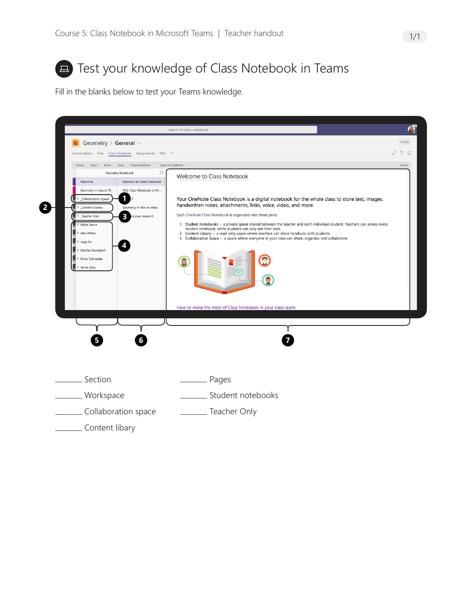

## **E** Test your knowledge of Class Notebook in Teams

Fill in the blanks below to test your Teams knowledge.

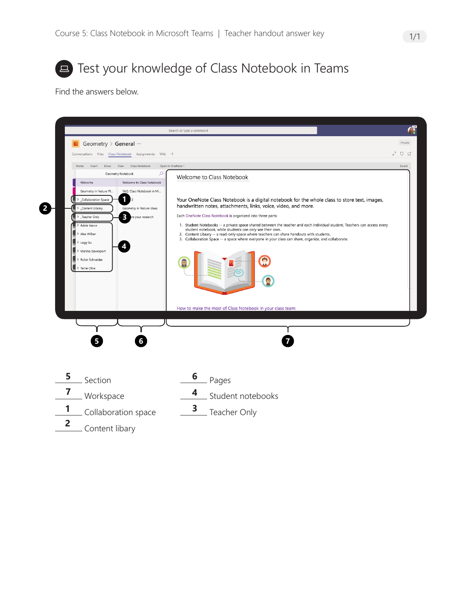

**E** Test your knowledge of Class Notebook in Teams

Find the answers below.

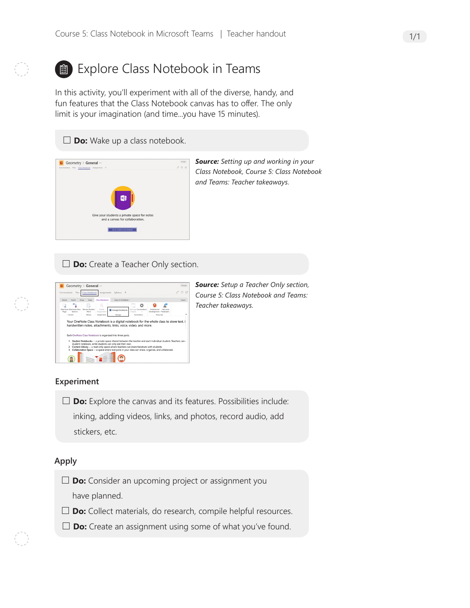

# **a**) Explore Class Notebook in Teams

In this activity, you'll experiment with all of the diverse, handy, and fun features that the Class Notebook canvas has to offer. The only limit is your imagination (and time...you have 15 minutes).





*Source: Setting up and working in your Class Notebook, Course 5: Class Notebook and Teams: Teacher takeaways.* 

□ **Do:** Create a Teacher Only section.



*Source: Setup a Teacher Only section, Course 5: Class Notebook and Teams: Teacher takeaways.* 

#### **Experiment**

□ **Do:** Explore the canvas and its features. Possibilities include: inking, adding videos, links, and photos, record audio, add stickers, etc.

#### **Apply**

- **Do:** Consider an upcoming project or assignment you have planned.
- □ **Do:** Collect materials, do research, compile helpful resources.
- **Do:** Create an assignment using some of what you've found.